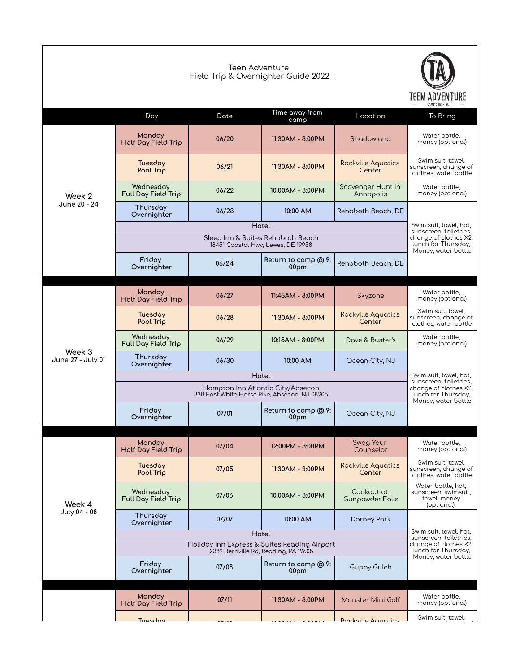|                             | Teen Adventure<br>Field Trip & Overnighter Guide 2022 |                                                                                                                         |                                                                         |                                      |                                                                           |  |
|-----------------------------|-------------------------------------------------------|-------------------------------------------------------------------------------------------------------------------------|-------------------------------------------------------------------------|--------------------------------------|---------------------------------------------------------------------------|--|
|                             | Day                                                   | Date                                                                                                                    | Time away from<br>camp                                                  | Location                             | CAMP SONSHINE<br>To Bring                                                 |  |
| Week 2                      | Monday<br>Half Day Field Trip                         | 06/20                                                                                                                   | 11:30AM - 3:00PM                                                        | Shadowland                           | Water bottle,<br>money (optional)                                         |  |
|                             | Tuesday<br>Pool Trip                                  | 06/21                                                                                                                   | 11:30AM - 3:00PM                                                        | <b>Rockville Aquatics</b><br>Center  | Swim suit, towel,<br>sunscreen, change of<br>clothes, water bottle        |  |
|                             | Wednesday<br>Full Day Field Trip                      | 06/22                                                                                                                   | 10:00AM - 3:00PM                                                        | Scovenger Hunt in<br>Annapolis       | Water bottle,<br>money (optional)                                         |  |
| June 20 - 24                | Thursday<br>Overnighter                               | 06/23                                                                                                                   | 10:00 AM                                                                | Rehoboth Beach, DE                   |                                                                           |  |
|                             |                                                       | Swim suit, towel, hat,<br>sunscreen, toiletries,                                                                        |                                                                         |                                      |                                                                           |  |
|                             |                                                       |                                                                                                                         | Sleep Inn & Suites Rehoboth Beach<br>18451 Coastal Hwy, Lewes, DE 19958 |                                      | change of clothes X2,<br>lunch for Thursday,<br>Money, water bottle       |  |
|                             | Friday<br>Overnighter                                 | 06/24                                                                                                                   | Return to camp @ 9:<br>00 <sub>pm</sub>                                 | Rehoboth Beach, DE                   |                                                                           |  |
|                             |                                                       |                                                                                                                         |                                                                         |                                      |                                                                           |  |
|                             | Monday<br>Half Day Field Trip                         | 06/27                                                                                                                   | 11:45AM - 3:00PM                                                        | Skyzone                              | Water bottle,<br>money (optional)                                         |  |
| Week 3<br>June 27 - July 01 | Tuesday<br>Pool Trip                                  | 06/28                                                                                                                   | 11:30AM - 3:00PM                                                        | <b>Rockville Aquatics</b><br>Center  | Swim suit, towel,<br>sunscreen, change of<br>clothes, water bottle        |  |
|                             | Wednesday<br>Full Day Field Trip                      | 06/29                                                                                                                   | 10:15AM - 3:00PM                                                        | Dave & Buster's                      | Water bottle,<br>money (optional)                                         |  |
|                             | Thursday<br>Overnighter                               | 06/30                                                                                                                   | 10:00 AM                                                                | Ocean City, NJ                       |                                                                           |  |
|                             |                                                       | Swim suit, towel, hat,<br>sunscreen, toiletries,<br>change of clothes X2,<br>lunch for Thursday,                        |                                                                         |                                      |                                                                           |  |
|                             |                                                       |                                                                                                                         |                                                                         |                                      |                                                                           |  |
|                             | Friday<br>Overnighter                                 | 07/01                                                                                                                   | Return to camp @ 9:<br>$00\rho$ m                                       | Ocean City, NJ                       | Money, water bottle                                                       |  |
|                             | Monday                                                |                                                                                                                         |                                                                         | Swag Your                            | Water bottle,                                                             |  |
|                             | Half Day Field Trip                                   | 07/04                                                                                                                   | 12:00PM - 3:00PM                                                        | Counselor                            | money (optional)                                                          |  |
| Week 4<br>July 04 - 08      | Tuesday<br>Pool Trip                                  | 07/05                                                                                                                   | 11:30AM - 3:00PM                                                        | <b>Rockville Aquatics</b><br>Center  | Swim suit, towel,<br>sunscreen, change of<br>clothes, water bottle        |  |
|                             | Wednesdav<br>Full Day Field Trip                      | 07/06                                                                                                                   | 10:00AM - 3:00PM                                                        | Cookout at<br><b>Gunpowder Falls</b> | Water bottle, hat,<br>sunscreen, swimsuit,<br>towel, money<br>(optional), |  |
|                             | Thursday<br>Overnighter                               | 07/07                                                                                                                   | 10:00 AM                                                                | Dorney Park                          |                                                                           |  |
|                             | Holiday Inn Express & Suites Reading Airport          | Swim suit, towel, hat,<br>sunscreen, toiletries,<br>change of clothes X2,<br>lunch for Thursday,<br>Money, water bottle |                                                                         |                                      |                                                                           |  |
|                             |                                                       |                                                                                                                         |                                                                         |                                      |                                                                           |  |
|                             | Friday<br>Overnighter                                 | 07/08                                                                                                                   | Return to camp @ 9:<br>00 <sub>pm</sub>                                 | <b>Guppy Gulch</b>                   |                                                                           |  |
|                             | Monday<br>Half Day Field Trip                         | 07/11                                                                                                                   | 11:30AM - 3:00PM                                                        | Monster Mini Golf                    | Water bottle,<br>money (optional)                                         |  |
|                             | Tuesdow                                               |                                                                                                                         |                                                                         | <b>Rockville Aquotics</b>            | Swim suit, towel,                                                         |  |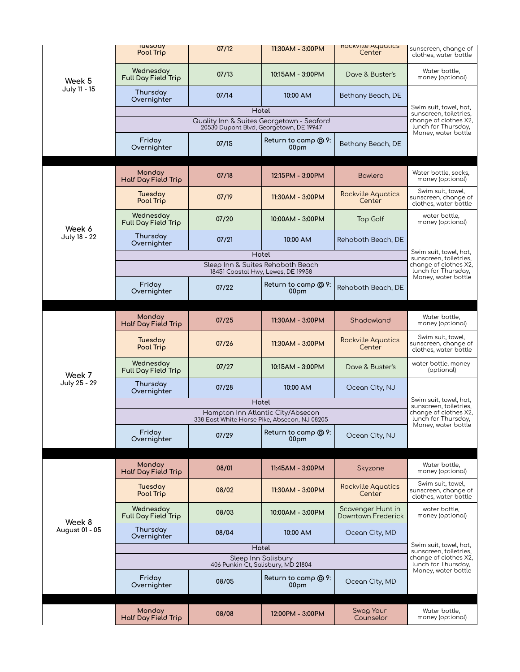|                          | <b>IUesday</b><br>Pool Trip      | 07/12                                                                                            | 11:30AM - 3:00PM                        | <b>KOCKVILLE AQUATICS</b><br>Center     | sunscreen, change of<br>clothes, water bottle                                                    |
|--------------------------|----------------------------------|--------------------------------------------------------------------------------------------------|-----------------------------------------|-----------------------------------------|--------------------------------------------------------------------------------------------------|
| Week 5<br>July 11 - 15   | Wednesday<br>Full Day Field Trip | 07/13                                                                                            | 10:15AM - 3:00PM                        | Dave & Buster's                         | Water bottle,<br>money (optional)                                                                |
|                          | Thursday<br>Overnighter          | 07/14                                                                                            | 10:00 AM<br>Hotel                       | Bethany Beach, DE                       | Swim suit, towel, hat,                                                                           |
|                          |                                  | sunscreen, toiletries,<br>change of clothes X2,<br>lunch for Thursday,<br>Money, water bottle    |                                         |                                         |                                                                                                  |
|                          |                                  |                                                                                                  |                                         |                                         |                                                                                                  |
|                          | Friday<br>Overnighter            | 07/15                                                                                            | Return to camp @ 9:<br>00 <sub>pm</sub> | Bethany Beach, DE                       |                                                                                                  |
|                          | Monday<br>Half Day Field Trip    | 07/18                                                                                            | 12:15PM - 3:00PM                        | <b>Bowlero</b>                          | Water bottle, socks,<br>money (optional)                                                         |
|                          | Tuesday<br>Pool Trip             | 07/19                                                                                            | 11:30AM - 3:00PM                        | <b>Rockville Aquatics</b><br>Center     | Swim suit, towel,<br>sunscreen, change of<br>clothes, water bottle                               |
| Week 6                   | Wednesday<br>Full Day Field Trip | 07/20                                                                                            | 10:00AM - 3:00PM                        | Top Golf                                | water bottle,<br>money (optional)                                                                |
| July 18 - 22             | Thursday<br>Overnighter          | 07/21                                                                                            | 10:00 AM                                | Rehoboth Beach, DE                      |                                                                                                  |
|                          |                                  |                                                                                                  | Hotel                                   |                                         | Swim suit, towel, hat,<br>sunscreen, toiletries,<br>change of clothes X2,<br>lunch for Thursday, |
|                          |                                  | 18451 Coastal Hwy, Lewes, DE 19958                                                               | Sleep Inn & Suites Rehoboth Beach       |                                         |                                                                                                  |
|                          | Friday<br>Overnighter            | 07/22                                                                                            | Return to camp @ 9:<br>00 <sub>pm</sub> | Rehoboth Beach, DE                      | Money, water bottle                                                                              |
|                          |                                  |                                                                                                  |                                         |                                         |                                                                                                  |
|                          | Monday<br>Half Day Field Trip    | 07/25                                                                                            | 11:30AM - 3:00PM                        | Shadowland                              | Water bottle,<br>money (optional)                                                                |
| Week 7                   | Tuesday<br>Pool Trip             | 07/26                                                                                            | 11:30AM - 3:00PM                        | <b>Rockville Aquatics</b><br>Center     | Swim suit, towel,<br>sunscreen, change of<br>clothes, water bottle                               |
|                          | Wednesday<br>Full Day Field Trip | 07/27                                                                                            | 10:15AM - 3:00PM                        | Dave & Buster's                         | water bottle, money<br>(optional)                                                                |
| July 25 - 29             | Thursday<br>Overnighter          | 07/28                                                                                            | 10:00 AM                                | Ocean City, NJ                          |                                                                                                  |
|                          |                                  | Hampton Inn Atlantic City/Absecon                                                                | Hotel                                   |                                         | Swim suit, towel, hat,<br>sunscreen, toiletries,                                                 |
|                          |                                  | change of clothes X2,<br>lunch for Thursday,                                                     |                                         |                                         |                                                                                                  |
|                          | Friday<br>Overnighter            | 07/29                                                                                            | Return to camp @ 9:<br>00 <sub>pm</sub> | Ocean City, NJ                          | Money, water bottle                                                                              |
|                          |                                  |                                                                                                  |                                         |                                         |                                                                                                  |
|                          | Monday<br>Half Day Field Trip    | 08/01                                                                                            | 11:45AM - 3:00PM                        | Skyzone                                 | Water bottle,<br>money (optional)                                                                |
| Week 8<br>August 01 - 05 | Tuesday<br>Pool Trip             | 08/02                                                                                            | 11:30AM - 3:00PM                        | <b>Rockville Aquatics</b><br>Center     | Swim suit, towel,<br>sunscreen, change of<br>clothes, water bottle                               |
|                          | Wednesday<br>Full Day Field Trip | 08/03                                                                                            | 10:00AM - 3:00PM                        | Scavenger Hunt in<br>Downtown Frederick | water bottle,<br>money (optional)                                                                |
|                          | Thursday<br>Overnighter          | 08/04                                                                                            | 10:00 AM                                | Ocean City, MD                          |                                                                                                  |
|                          |                                  | Swim suit, towel, hat,<br>sunscreen, toiletries,<br>change of clothes X2,<br>lunch for Thursday, |                                         |                                         |                                                                                                  |
|                          |                                  |                                                                                                  |                                         |                                         |                                                                                                  |
|                          | Friday<br>Overnighter            | 08/05                                                                                            | Return to camp @ 9:<br>00 <sub>pm</sub> | Ocean City, MD                          | Money, water bottle                                                                              |
|                          |                                  |                                                                                                  |                                         |                                         |                                                                                                  |
|                          | Monday<br>Half Day Field Trip    | 08/08                                                                                            | 12:00PM - 3:00PM                        | Swag Your<br>Counselor                  | Water bottle,<br>money (optional)                                                                |